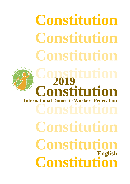**Constitution Constitution Constitution Constitution Constitution Constitution Constitution Constituti International Domestic Workers Federation 2019 English**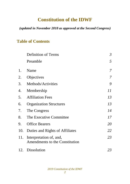# **Constitution of the IDWF**

#### *(updated in November 2018 as approved at the Second Congress)*

#### **Table of Contents**

|     | <b>Definition of Terms</b>                                | $\mathfrak{Z}$ |
|-----|-----------------------------------------------------------|----------------|
|     | Preamble                                                  | 5              |
| 1.  | Name                                                      | 7              |
| 2.  | Objectives                                                | 7              |
| 3.  | Methods/Activities                                        | 9              |
| 4.  | Membership                                                | 11             |
| 5.  | <b>Affiliation Fees</b>                                   | 13             |
| 6.  | <b>Organization Structures</b>                            | 13             |
| 7.  | The Congress                                              | 14             |
| 8.  | The Executive Committee                                   | 17             |
| 9.  | <b>Office Bearers</b>                                     | 20             |
| 10. | Duties and Rights of Affiliates                           | 22             |
| 11. | Interpretation of, and,<br>Amendments to the Constitution | 23             |
|     | 12. Dissolution                                           | 23             |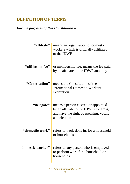# **DEFINITION OF TERMS**

#### *For the purposes of this Constitution –*

| "affiliate"       | means an organization of domestic<br>workers which is officially affiliated<br>to the IDWF                                             |
|-------------------|----------------------------------------------------------------------------------------------------------------------------------------|
| "affiliation fee" | or membership fee, means the fee paid<br>by an affiliate to the IDWF annually                                                          |
| "Constitution"    | means the Constitution of the<br><b>International Domestic Workers</b><br>Federation                                                   |
| "delegate"        | means a person elected or appointed<br>by an affiliate to the IDWF Congress,<br>and have the right of speaking, voting<br>and election |
| "domestic work"   | refers to work done in, for a household<br>or households                                                                               |
| "domestic worker" | refers to any person who is employed<br>to perform work for a household or<br>households                                               |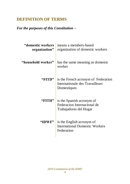### **DEFINITION OF TERMS**

#### *For the purposes of this Constitution –*

| organization"      | "domestic workers   means a members-based<br>organization of domestic workers         |
|--------------------|---------------------------------------------------------------------------------------|
| "household worker" | has the same meaning as domestic<br>worker                                            |
| "FITD"             | is the French acronym of Federation<br>Internationale des Travailleurs<br>Domestiques |
| "FITH"             | is the Spanish acronym of<br>Federacion Internacional de<br>Trabajadores del Hogar    |
| "IDWF"             | is the English acronym of<br><b>International Domestic Workers</b><br>Federation      |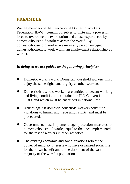#### **PREAMBLE**

We the members of the International Domestic Workers Federation (IDWF) commit ourselves to unite into a powerful force to overcome the exploitation and abuse experienced by domestic/household workers across the World. By domestic/household worker we mean any person engaged in domestic/household work within an employment relationship as worker.

#### *In doing so we are guided by the following principles:*

- Domestic work is work. Domestic/household workers must enjoy the same rights and dignity as other workers.
- **Domestic/household workers are entitled to decent working** and living conditions as contained in ILO Convention C189, and which must be enshrined in national law.
- Abuses against domestic/household workers constitute violations to human and trade union rights, and must be prosecuted.
- Governments must implement legal protection measures for domestic/household works, equal to the ones implemented for the rest of workers in other activities.
- The existing economic and social relations reflect the power of minority interests who have organized social life for their own benefit and to the detriment of the vast majority of the world's population.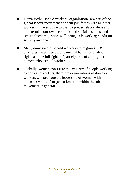- Domestic/household workers' organizations are part of the global labour movement and will join forces with all other workers in the struggle to change power relationships and to determine our own economic and social destinies, and secure freedom, justice, well-being, safe working condition, security and peace.
- Many domestic/household workers are migrants. IDWF promotes the universal/fundamental human and labour rights and the full rights of participation of all migrant domestic/household workers.
- Globally, women constitute the majority of people working as domestic workers, therefore organizations of domestic workers will promote the leadership of women within domestic workers' organizations and within the labour movement in general.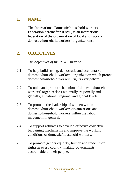### **1. NAME**

The International Domestic/household workers Federation hereinafter IDWF, is an international federation of the organization of local and national domestic/household workers' organizations**.** 

# **2. OBJECTIVES**

*The objectives of the IDWF shall be:*

- 2.1 To help build strong, democratic and accountable domestic/household workers' organization which protect domestic/household workers' rights everywhere.
- 2.2 To unite and promote the union of domestic/household workers' organizations nationally, regionally and globally, at national, regional and global levels.
- 2.3 To promote the leadership of women within domestic/household workers organizations and domestic/household workers within the labour movement in general.
- 2.4 To support affiliates to develop effective collective bargaining mechanisms and improve the working conditions of domestic/household workers.
- 2.5 To promote gender equality, human and trade union rights in every country, making governments accountable to their people.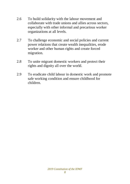- 2.6 To build solidarity with the labour movement and collaborate with trade unions and allies across sectors, especially with other informal and precarious worker organizations at all levels.
- 2.7 To challenge economic and social policies and current power relations that create wealth inequalities, erode worker and other human rights and create forced migration.
- 2.8 To unite migrant domestic workers and protect their rights and dignity all over the world.
- 2.9 To eradicate child labour in domestic work and promote safe working condition and ensure childhood for children.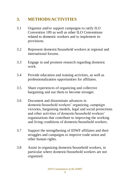# **3. METHODS/ACTIVITIES**

- 3.1 Organize and/or support campaigns to ratify ILO Convention 189 as well as other ILO Conventions related to domestic workers and to implement its provisions.
- 3.2 Represent domestic/household workers at regional and international forums.
- 3.3 Engage in and promote research regarding domestic work.
- 3.4 Provide education and training activities, as well as professionalization opportunities for affiliates.
- 3.5 Share experiences of organizing and collective bargaining and use them to become stronger.
- 3.6 Document and disseminate advances in domestic/household workers' organizing, campaign victories, bargaining models, legal and social protections and other activities of domestic/household workers' organizations that contribute to improving the working and living conditions of domestic/household workers.
- 3.7 Support the strengthening of IDWF affiliates and their struggles and campaigns to improve trade union and other human rights.
- 3.8 Assist in organizing domestic/household workers, in particular where domestic/household workers are not organized.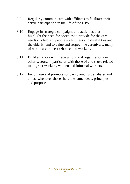- 3.9 Regularly communicate with affiliates to facilitate their active participation in the life of the IDWF.
- 3.10 Engage in strategic campaigns and activities that highlight the need for societies to provide for the care needs of children, people with illness and disabilities and the elderly, and to value and respect the caregivers, many of whom are domestic/household workers.
- 3.11 Build alliances with trade unions and organizations in other sectors, in particular with those of and those related to migrant workers, women and informal workers.
- 3.12 Encourage and promote solidarity amongst affiliates and allies, whenever those share the same ideas, principles and purposes.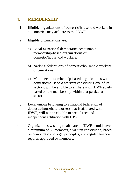### **4. MEMBERSHIP**

- 4.1 Eligible organizations of domestic/household workers in all countries may affiliate to the IDWF.
- 4.2 Eligible organizations are:
	- a) Local **or** national democratic, accountable membership-based organizations of domestic/household workers.
	- b) National federations of domestic/household workers' organizations.
	- c) Multi-sector membership-based organizations with domestic/household workers constituting one of its sectors, will be eligible to affiliate with IDWF solely based on the membership within that particular sector.
- 4.3 Local unions belonging to a national federation of domestic/household workers that is affiliated with IDWF, will not be eligible to seek direct and independent affiliation with IDWF.
- 4.4 Organizations wishing to affiliate to IDWF should have a minimum of 50 members, a written constitution, based on democratic and legal principles, and regular financial reports**,** approved by members.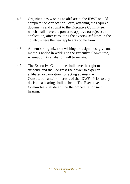- 4.5 Organizations wishing to affiliate to the IDWF should complete the Application Form, attaching the required documents and submit to the Executive Committee, which shall have the power to approve (or reject) an application, after consulting the existing affiliates in the country where the new applicants come from.
- 4.6 A member organization wishing to resign must give one month's notice in writing to the Executive Committee, whereupon its affiliation will terminate.
- 4.7 The Executive Committee shall have the right to suspend, and the Congress the power to expel an affiliated organization, for acting against the Constitution and/or interests of the IDWF. Prior to any decision a hearing shall be held. The Executive Committee shall determine the procedure for such hearing.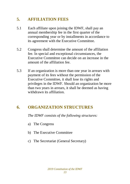# **5. AFFILIATION FEES**

- 5.1 Each affiliate upon joining the IDWF, shall pay an annual membership fee in the first quarter of the corresponding year or by installments in accordance to its agreement with the Executive Committee.
- 5.2 Congress shall determine the amount of the affiliation fee. In special and exceptional circumstances, the Executive Committee can decide on an increase in the amount of the affiliation fee.
- 5.3 If an organization is more than one year in arrears with payment of its fees without the permission of the Executive Committee, it shall lose its rights and privileges in the IDWF. Should an organization be more than two years in arrears, it shall be deemed as having withdrawn its affiliation.

# **6. ORGANIZATION STRUCTURES**

*The IDWF consists of the following structures:*

- a) The Congress
- b) The Executive Committee
- c) The Secretariat (General Secretary)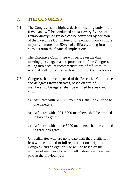# **7. THE CONGRESS**

- 7.1 The Congress is the highest decision making body of the IDWF and will be conducted at least every five years. Extraordinary Congresses can be convened by decision of the Executive Committee or on petition from a simple majority **–** more than 50% **-** of affiliates, taking into consideration the financial implications.
- 7.2 The Executive Committee will decide on the date, meeting place, agenda and procedures of the Congress, taking into account recommendations of affiliates, to whom it will notify with at least four months in advance.
- 7.3 Congress shall be composed of the Executive Committee and delegates from affiliates, based on size of membership. Delegates shall be entitled to speak and vote.
	- a) Affiliates with 51-1000 members, shall be entitled to one delegate
	- b) Affiliates with 1001-5000 members, shall be entitled to two delegates
	- c) Affiliates with above 5000 members, shall be entitled to three delegates
- 7.4 Only affiliates who are up to date with their affiliation fees will be entitled to full representational rights at Congress, and delegation size will be based on the number of members for whom affiliation fees have been paid in the previous year.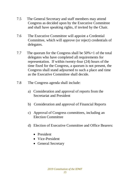- 7.5 The General Secretary and staff members may attend Congress as decided upon by the Executive Committee and shall have speaking rights, if invited by the Chair.
- 7.6 The Executive Committee will appoint a Credential Committee, which will approve (or reject) credentials of delegates.
- 7.7 The quorum for the Congress shall be 50%+1 of the total delegates who have completed all requirements for representation. If within twenty-four (24) hours of the time fixed for the Congress, a quorum is not present, the Congress shall stand adjourned to such a place and time as the Executive Committee shall decide.
- 7.8 The Congress agenda shall include:
	- a) Consideration and approval of reports from the Secretariat and President
	- b) Consideration and approval of Financial Reports
	- c) Approval of Congress committees, including an Election Committee
	- d) Election of Executive Committee and Office Bearers:
		- President
		- Vice-President
		- General Secretary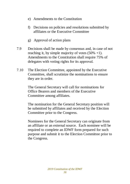- e) Amendments to the Constitution
- f) Decisions on policies and resolutions submitted by affiliates or the Executive Committee
- g) Approval of action plans
- 7.9 Decisions shall be made by consensus and, in case of not reaching it, by simple majority of votes  $(50\% +1)$ . Amendments to the Constitution shall require 75% of delegates with voting rights for its approval.
- 7.10 The Election Committee, appointed by the Executive Committee, shall scrutinize the nominations to ensure they are in order.

The General Secretary will call for nominations for Office Bearers and members of the Executive Committee among affiliates.

The nomination for the General Secretary position will be submitted by affiliates and received by the Election Committee prior to the Congress.

Nominees for the General Secretary can originate from an affiliate or an external source. Each nominee will be required to complete an IDWF form prepared for such purpose and submit it to the Election Committee prior to the Congress.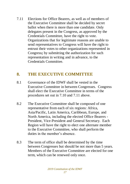7.11 Elections for Office Bearers, as well as of members of the Executive Committee shall be decided by secret ballot when there is more than one candidate. Only delegates present in the Congress, as approved by the Credentials Committee, have the right to vote. Organizations that for legitimate reasons are unable to send representatives to Congress will have the right to entrust their votes to other organizations represented in Congress**;** by submitting the authorization for such representation in writing and in advance, to the Credentials Committee.

#### **8. THE EXECUTIVE COMMITTEE**

- 8.1 Governance of the IDWF shall be vested in the Executive Committee in between Congresses. Congress shall elect the Executive Committee in terms of the procedures set out in 7.10 and 7.11 above.
- 8.2 The Executive Committee shall be composed of one representative from each of six regions: Africa, Asia/Pacific, Latin America, Caribbean, Europe, and North America, including the elected Office Bearers - President, Vice-President and General Secretary. Each Region will have the right to elect one alternate member to the Executive Committee, who shall perform the duties in the member's absence.
- 8.3 The term of office shall be determined by the time between Congresses but should be not more than 5 years. Members of the Executive Committee are elected for one term, which can be renewed only once.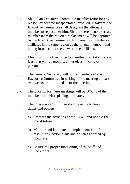- 8.4 Should an Executive Committee member retire for any reason, or become incapacitated, expelled, insolvent, the Executive Committee shall designate the alternate member to replace her/him. Should there be no alternate member from the region a replacement will be appointed by the Executive Committee, from amongst members of affiliates in the same region as the former member, and taking into account the views of the affiliates.
- 8.5 Meetings of the Executive Committee shall take place at least every three months, either electronically or in person.
- 8.6 The General Secretary will notify members of the Executive Committee in writing of the meeting at least two weeks prior to the date of the meeting.
- 8.7 The quorum for these meetings will be  $50\% + 1$  of the members or their replacing alternates.
- 8.8 The Executive Committee shall have the following duties and powers:
	- a) Promote the activities of the IDWF and uphold the **Constitution**
	- b) Monitor and facilitate the implementation of resolutions, action plans and policies adopted by Congress.
	- c) Ensure the proper functioning of the staff and Secretariat.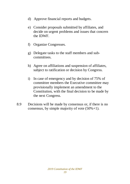- d) Approve financial reports and budgets.
- e) Consider proposals submitted by affiliates, and decide on urgent problems and issues that concern the IDWF.
- f) Organize Congresses.
- g) Delegate tasks to the staff members and subcommittees.
- h) Agree on affiliations and suspension of affiliates, subject to ratification or decision by Congress.
- i) In case of emergency and by decision of 75% of committee members the Executive committee may provisionally implement an amendment to the Constitution, with the final decision to be made by the next Congress.
- 8.9 Decisions will be made by consensus or, if there is no consensus, by simple majority of vote  $(50\% + 1)$ .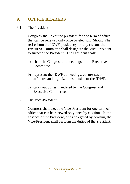### **9. OFFICE BEARERS**

#### 9.1 The President

Congress shall elect the president for one term of office that can be renewed only once by election. Should s/he retire from the IDWF presidency for any reason, the Executive Committee shall designate the Vice President to succeed the President. The President shall:

- a) chair the Congress and meetings of the Executive Committee.
- b) represent the IDWF at meetings, congresses of affiliates and organizations outside of the IDWF.
- c) carry out duties mandated by the Congress and Executive Committee.
- 9.2 The Vice-President

Congress shall elect the Vice-President for one term of office that can be renewed only once by election. In the absence of the President, or as delegated by her/him, the Vice-President shall perform the duties of the President.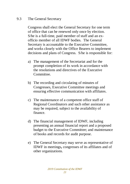#### 9.3 The General Secretary

Congress shall elect the General Secretary for one term of office that can be renewed only once by election. S/he is a full-time, paid member of staff and an exofficio member of all IDWF bodies. The General Secretary is accountable to the Executive Committee, and works closely with the Office Bearers to implement decisions and plans of Congress. S/he is responsible for:

- a) The management of the Secretariat and for the prompt completion of its work in accordance with the resolutions and directives of the Executive Committee.
- b) The recording and circulating of minutes of Congresses, Executive Committee meetings and ensuring effective communication with affiliates.
- c) The maintenance of a competent office staff of Regional Coordinators and such other assistance as may be required, subject to the availability of finance.
- d) The financial management of IDWF, including presenting an annual financial report and a proposed budget to the Executive Committee; and maintenance of books and records for audit purpose.
- e) The General Secretary may serve as representative of IDWF in meetings**,** congresses of its affiliates and of other organizations.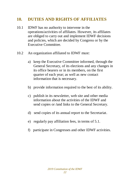#### **10. DUTIES AND RIGHTS OF AFFILIATES**

- 10.1 IDWF has no authority to intervene in the operations/activities of affiliates. However, its affiliates are obliged to carry out and implement IDWF decisions and policies, which are decided by Congress or by the Executive Committee.
- 10.2 An organization affiliated to IDWF must:
	- a) keep the Executive Committee informed, through the General Secretary, of its elections and any changes in its office bearers or in its members, on the first quarter of each year; as well as new contact information that is necessary.
	- b) provide information required to the best of its ability.
	- c) publish in its newsletter, web site and other media information about the activities of the IDWF and send copies or **/**and links to the General Secretary.
	- d) send copies of its annual report to the Secretariat.
	- e) regularly pay affiliation fees, in terms of 5.1.
	- f) participate in Congresses and other IDWF activities.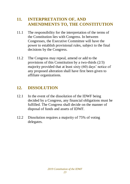#### **11. INTERPRETATION OF, AND AMENDMENTS TO, THE CONSTITUTION**

- 11.1 The responsibility for the interpretation of the terms of the Constitution lies with Congress. In between Congresses, the Executive Committee will have the power to establish provisional rules, subject to the final decisions by the Congress.
- 11.2 The Congress may repeal, amend or add to the provisions of this Constitution by a two-thirds (2/3) majority provided that at least sixty (60) days' notice of any proposed alteration shall have first been given to affiliate organizations.

### **12. DISSOLUTION**

- 12.1 In the event of the dissolution of the IDWF being decided by a Congress, any financial obligations must be fulfilled. The Congress shall decide on the manner of disposal of funds and assets of IDWF.
- 12.2 Dissolution requires a majority of 75% of voting delegates.